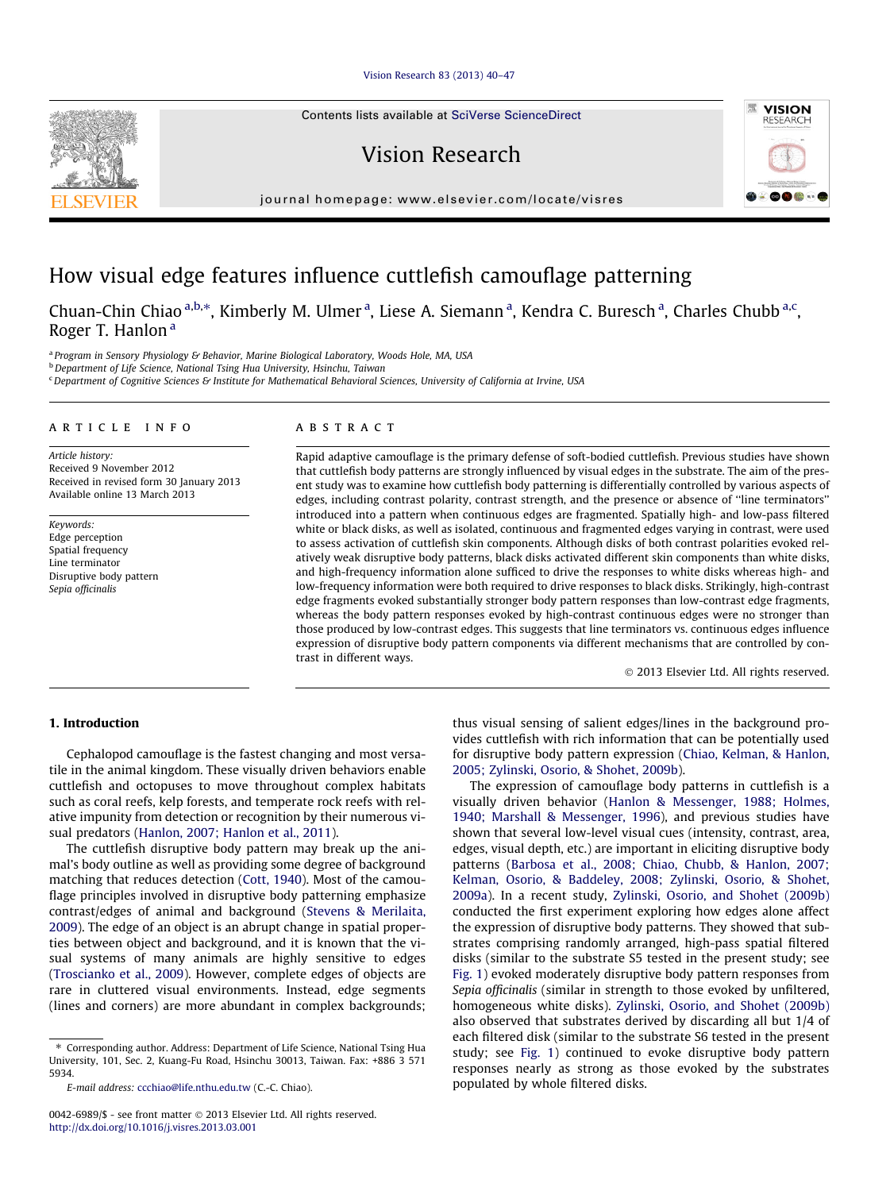### [Vision Research 83 \(2013\) 40–47](http://dx.doi.org/10.1016/j.visres.2013.03.001)

Contents lists available at [SciVerse ScienceDirect](http://www.sciencedirect.com/science/journal/00426989)

Vision Research



journal homepage: [www.elsevier.com/locate/visres](http://www.elsevier.com/locate/visres)

# How visual edge features influence cuttlefish camouflage patterning

Chuan-Chin Chiao <sup>a,b,</sup>\*, Kimberly M. Ulmer <sup>a</sup>, Liese A. Siemann <sup>a</sup>, Kendra C. Buresch <sup>a</sup>, Charles Chubb <sup>a,c</sup>, Roger T. Hanlon<sup>a</sup>

<sup>a</sup> Program in Sensory Physiology & Behavior, Marine Biological Laboratory, Woods Hole, MA, USA

**b** Department of Life Science, National Tsing Hua University, Hsinchu, Taiwan

<sup>c</sup> Department of Cognitive Sciences & Institute for Mathematical Behavioral Sciences, University of California at Irvine, USA

### article info

Article history: Received 9 November 2012 Received in revised form 30 January 2013 Available online 13 March 2013

Keywords: Edge perception Spatial frequency Line terminator Disruptive body pattern Sepia officinalis

### ABSTRACT

Rapid adaptive camouflage is the primary defense of soft-bodied cuttlefish. Previous studies have shown that cuttlefish body patterns are strongly influenced by visual edges in the substrate. The aim of the present study was to examine how cuttlefish body patterning is differentially controlled by various aspects of edges, including contrast polarity, contrast strength, and the presence or absence of ''line terminators'' introduced into a pattern when continuous edges are fragmented. Spatially high- and low-pass filtered white or black disks, as well as isolated, continuous and fragmented edges varying in contrast, were used to assess activation of cuttlefish skin components. Although disks of both contrast polarities evoked relatively weak disruptive body patterns, black disks activated different skin components than white disks, and high-frequency information alone sufficed to drive the responses to white disks whereas high- and low-frequency information were both required to drive responses to black disks. Strikingly, high-contrast edge fragments evoked substantially stronger body pattern responses than low-contrast edge fragments, whereas the body pattern responses evoked by high-contrast continuous edges were no stronger than those produced by low-contrast edges. This suggests that line terminators vs. continuous edges influence expression of disruptive body pattern components via different mechanisms that are controlled by contrast in different ways.

- 2013 Elsevier Ltd. All rights reserved.

### 1. Introduction

Cephalopod camouflage is the fastest changing and most versatile in the animal kingdom. These visually driven behaviors enable cuttlefish and octopuses to move throughout complex habitats such as coral reefs, kelp forests, and temperate rock reefs with relative impunity from detection or recognition by their numerous visual predators ([Hanlon, 2007; Hanlon et al., 2011\)](#page-7-0).

The cuttlefish disruptive body pattern may break up the animal's body outline as well as providing some degree of background matching that reduces detection ([Cott, 1940](#page-7-0)). Most of the camouflage principles involved in disruptive body patterning emphasize contrast/edges of animal and background [\(Stevens & Merilaita,](#page-7-0) [2009\)](#page-7-0). The edge of an object is an abrupt change in spatial properties between object and background, and it is known that the visual systems of many animals are highly sensitive to edges ([Troscianko et al., 2009\)](#page-7-0). However, complete edges of objects are rare in cluttered visual environments. Instead, edge segments (lines and corners) are more abundant in complex backgrounds;

⇑ Corresponding author. Address: Department of Life Science, National Tsing Hua University, 101, Sec. 2, Kuang-Fu Road, Hsinchu 30013, Taiwan. Fax: +886 3 571 5934.

thus visual sensing of salient edges/lines in the background provides cuttlefish with rich information that can be potentially used for disruptive body pattern expression [\(Chiao, Kelman, & Hanlon,](#page-7-0) [2005; Zylinski, Osorio, & Shohet, 2009b\)](#page-7-0).

The expression of camouflage body patterns in cuttlefish is a visually driven behavior ([Hanlon & Messenger, 1988; Holmes,](#page-7-0) [1940; Marshall & Messenger, 1996](#page-7-0)), and previous studies have shown that several low-level visual cues (intensity, contrast, area, edges, visual depth, etc.) are important in eliciting disruptive body patterns ([Barbosa et al., 2008; Chiao, Chubb, & Hanlon, 2007;](#page-7-0) [Kelman, Osorio, & Baddeley, 2008; Zylinski, Osorio, & Shohet,](#page-7-0) [2009a\)](#page-7-0). In a recent study, [Zylinski, Osorio, and Shohet \(2009b\)](#page-7-0) conducted the first experiment exploring how edges alone affect the expression of disruptive body patterns. They showed that substrates comprising randomly arranged, high-pass spatial filtered disks (similar to the substrate S5 tested in the present study; see [Fig. 1](#page-1-0)) evoked moderately disruptive body pattern responses from Sepia officinalis (similar in strength to those evoked by unfiltered, homogeneous white disks). [Zylinski, Osorio, and Shohet \(2009b\)](#page-7-0) also observed that substrates derived by discarding all but 1/4 of each filtered disk (similar to the substrate S6 tested in the present study; see [Fig. 1\)](#page-1-0) continued to evoke disruptive body pattern responses nearly as strong as those evoked by the substrates populated by whole filtered disks.



E-mail address: [ccchiao@life.nthu.edu.tw](mailto:ccchiao@life.nthu.edu.tw) (C.-C. Chiao).

<sup>0042-6989/\$ -</sup> see front matter © 2013 Elsevier Ltd. All rights reserved. <http://dx.doi.org/10.1016/j.visres.2013.03.001>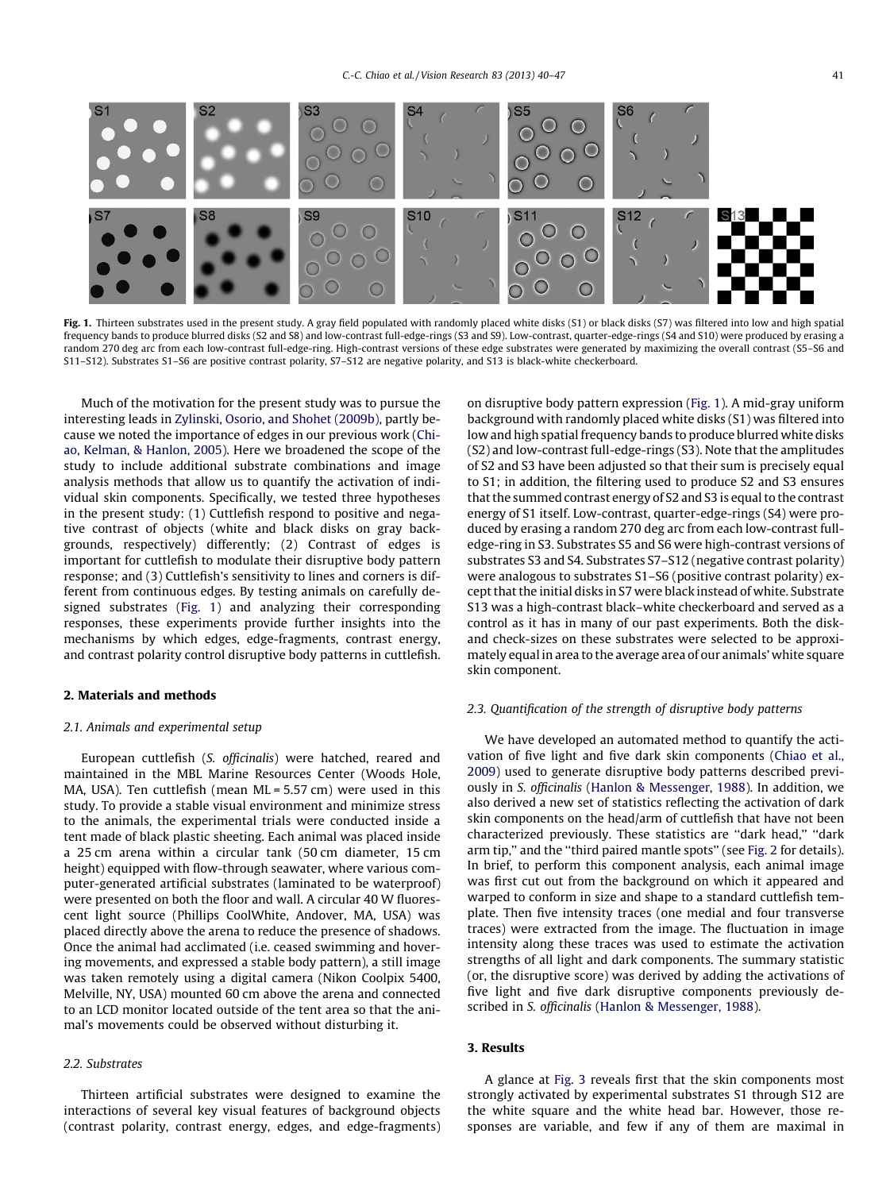<span id="page-1-0"></span>

Fig. 1. Thirteen substrates used in the present study. A gray field populated with randomly placed white disks (S1) or black disks (S7) was filtered into low and high spatial frequency bands to produce blurred disks (S2 and S8) and low-contrast full-edge-rings (S3 and S9). Low-contrast, quarter-edge-rings (S4 and S10) were produced by erasing a random 270 deg arc from each low-contrast full-edge-ring. High-contrast versions of these edge substrates were generated by maximizing the overall contrast (S5–S6 and S11–S12). Substrates S1–S6 are positive contrast polarity, S7–S12 are negative polarity, and S13 is black-white checkerboard.

Much of the motivation for the present study was to pursue the interesting leads in [Zylinski, Osorio, and Shohet \(2009b\),](#page-7-0) partly because we noted the importance of edges in our previous work ([Chi](#page-7-0)[ao, Kelman, & Hanlon, 2005](#page-7-0)). Here we broadened the scope of the study to include additional substrate combinations and image analysis methods that allow us to quantify the activation of individual skin components. Specifically, we tested three hypotheses in the present study: (1) Cuttlefish respond to positive and negative contrast of objects (white and black disks on gray backgrounds, respectively) differently; (2) Contrast of edges is important for cuttlefish to modulate their disruptive body pattern response; and (3) Cuttlefish's sensitivity to lines and corners is different from continuous edges. By testing animals on carefully designed substrates (Fig. 1) and analyzing their corresponding responses, these experiments provide further insights into the mechanisms by which edges, edge-fragments, contrast energy, and contrast polarity control disruptive body patterns in cuttlefish.

### 2. Materials and methods

### 2.1. Animals and experimental setup

European cuttlefish (S. officinalis) were hatched, reared and maintained in the MBL Marine Resources Center (Woods Hole, MA, USA). Ten cuttlefish (mean ML = 5.57 cm) were used in this study. To provide a stable visual environment and minimize stress to the animals, the experimental trials were conducted inside a tent made of black plastic sheeting. Each animal was placed inside a 25 cm arena within a circular tank (50 cm diameter, 15 cm height) equipped with flow-through seawater, where various computer-generated artificial substrates (laminated to be waterproof) were presented on both the floor and wall. A circular 40 W fluorescent light source (Phillips CoolWhite, Andover, MA, USA) was placed directly above the arena to reduce the presence of shadows. Once the animal had acclimated (i.e. ceased swimming and hovering movements, and expressed a stable body pattern), a still image was taken remotely using a digital camera (Nikon Coolpix 5400, Melville, NY, USA) mounted 60 cm above the arena and connected to an LCD monitor located outside of the tent area so that the animal's movements could be observed without disturbing it.

# 2.2. Substrates

Thirteen artificial substrates were designed to examine the interactions of several key visual features of background objects (contrast polarity, contrast energy, edges, and edge-fragments) on disruptive body pattern expression (Fig. 1). A mid-gray uniform background with randomly placed white disks (S1) was filtered into low and high spatial frequency bands to produce blurred white disks (S2) and low-contrast full-edge-rings (S3). Note that the amplitudes of S2 and S3 have been adjusted so that their sum is precisely equal to S1; in addition, the filtering used to produce S2 and S3 ensures that the summed contrast energy of S2 and S3 is equal to the contrast energy of S1 itself. Low-contrast, quarter-edge-rings (S4) were produced by erasing a random 270 deg arc from each low-contrast fulledge-ring in S3. Substrates S5 and S6 were high-contrast versions of substrates S3 and S4. Substrates S7–S12 (negative contrast polarity) were analogous to substrates S1–S6 (positive contrast polarity) except that the initial disks in S7 were black instead of white. Substrate S13 was a high-contrast black–white checkerboard and served as a control as it has in many of our past experiments. Both the diskand check-sizes on these substrates were selected to be approximately equal in area to the average area of our animals' white square skin component.

### 2.3. Quantification of the strength of disruptive body patterns

We have developed an automated method to quantify the activation of five light and five dark skin components [\(Chiao et al.,](#page-7-0) [2009](#page-7-0)) used to generate disruptive body patterns described previously in S. officinalis ([Hanlon & Messenger, 1988\)](#page-7-0). In addition, we also derived a new set of statistics reflecting the activation of dark skin components on the head/arm of cuttlefish that have not been characterized previously. These statistics are ''dark head,'' ''dark arm tip," and the "third paired mantle spots" (see [Fig. 2](#page-2-0) for details). In brief, to perform this component analysis, each animal image was first cut out from the background on which it appeared and warped to conform in size and shape to a standard cuttlefish template. Then five intensity traces (one medial and four transverse traces) were extracted from the image. The fluctuation in image intensity along these traces was used to estimate the activation strengths of all light and dark components. The summary statistic (or, the disruptive score) was derived by adding the activations of five light and five dark disruptive components previously described in S. officinalis ([Hanlon & Messenger, 1988](#page-7-0)).

# 3. Results

A glance at [Fig. 3](#page-2-0) reveals first that the skin components most strongly activated by experimental substrates S1 through S12 are the white square and the white head bar. However, those responses are variable, and few if any of them are maximal in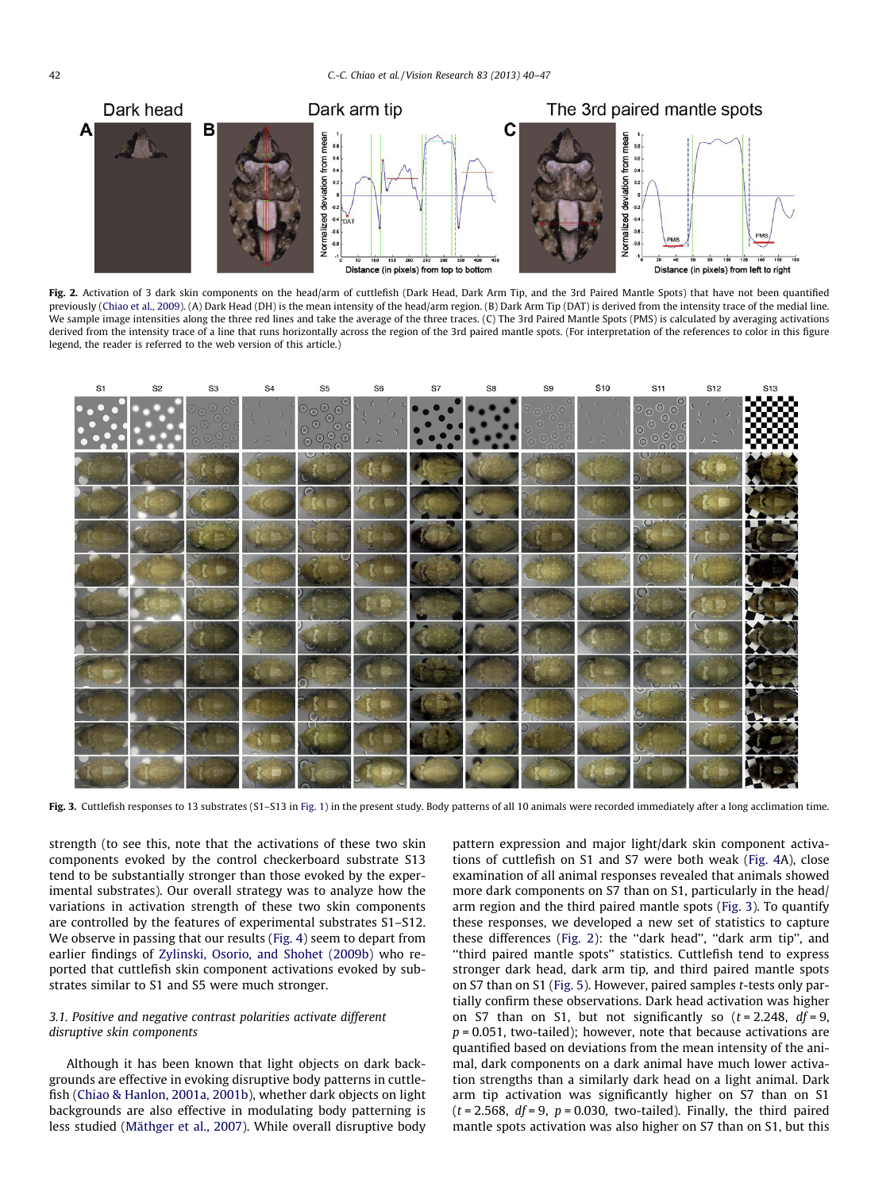<span id="page-2-0"></span>

Fig. 2. Activation of 3 dark skin components on the head/arm of cuttlefish (Dark Head, Dark Arm Tip, and the 3rd Paired Mantle Spots) that have not been quantified previously [\(Chiao et al., 2009\)](#page-7-0). (A) Dark Head (DH) is the mean intensity of the head/arm region. (B) Dark Arm Tip (DAT) is derived from the intensity trace of the medial line. We sample image intensities along the three red lines and take the average of the three traces. (C) The 3rd Paired Mantle Spots (PMS) is calculated by averaging activations derived from the intensity trace of a line that runs horizontally across the region of the 3rd paired mantle spots. (For interpretation of the references to color in this figure legend, the reader is referred to the web version of this article.)



Fig. 3. Cuttlefish responses to 13 substrates (S1-S13 in [Fig. 1](#page-1-0)) in the present study. Body patterns of all 10 animals were recorded immediately after a long acclimation time.

strength (to see this, note that the activations of these two skin components evoked by the control checkerboard substrate S13 tend to be substantially stronger than those evoked by the experimental substrates). Our overall strategy was to analyze how the variations in activation strength of these two skin components are controlled by the features of experimental substrates S1–S12. We observe in passing that our results [\(Fig. 4\)](#page-3-0) seem to depart from earlier findings of [Zylinski, Osorio, and Shohet \(2009b\)](#page-7-0) who reported that cuttlefish skin component activations evoked by substrates similar to S1 and S5 were much stronger.

# 3.1. Positive and negative contrast polarities activate different disruptive skin components

Although it has been known that light objects on dark backgrounds are effective in evoking disruptive body patterns in cuttlefish ([Chiao & Hanlon, 2001a, 2001b](#page-7-0)), whether dark objects on light backgrounds are also effective in modulating body patterning is less studied ([Mäthger et al., 2007](#page-7-0)). While overall disruptive body

pattern expression and major light/dark skin component activations of cuttlefish on S1 and S7 were both weak ([Fig. 4](#page-3-0)A), close examination of all animal responses revealed that animals showed more dark components on S7 than on S1, particularly in the head/ arm region and the third paired mantle spots (Fig. 3). To quantify these responses, we developed a new set of statistics to capture these differences (Fig. 2): the ''dark head'', ''dark arm tip'', and ''third paired mantle spots'' statistics. Cuttlefish tend to express stronger dark head, dark arm tip, and third paired mantle spots on S7 than on S1 [\(Fig. 5\)](#page-3-0). However, paired samples t-tests only partially confirm these observations. Dark head activation was higher on S7 than on S1, but not significantly so  $(t = 2.248, df = 9,$  $p = 0.051$ , two-tailed); however, note that because activations are quantified based on deviations from the mean intensity of the animal, dark components on a dark animal have much lower activation strengths than a similarly dark head on a light animal. Dark arm tip activation was significantly higher on S7 than on S1  $(t = 2.568, df = 9, p = 0.030, two-tailed)$ . Finally, the third paired mantle spots activation was also higher on S7 than on S1, but this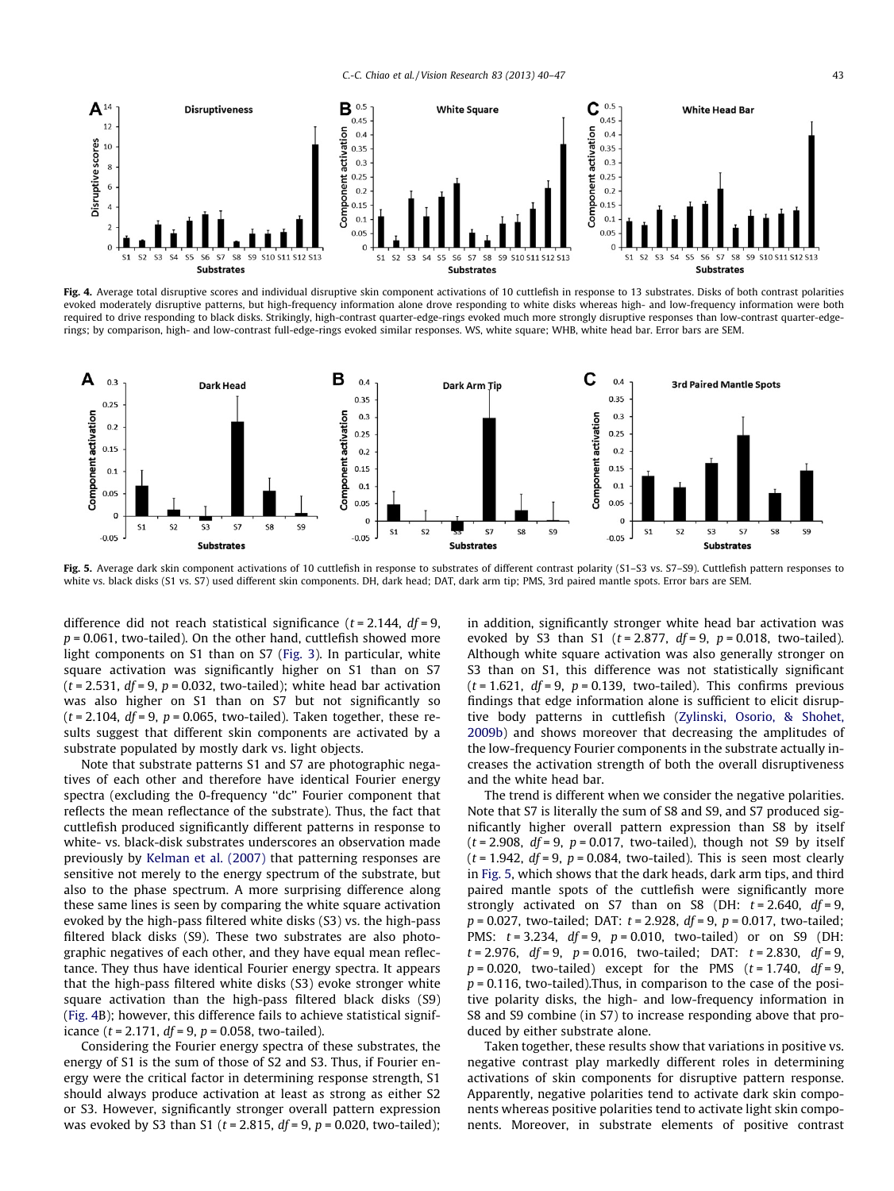<span id="page-3-0"></span>

Fig. 4. Average total disruptive scores and individual disruptive skin component activations of 10 cuttlefish in response to 13 substrates. Disks of both contrast polarities evoked moderately disruptive patterns, but high-frequency information alone drove responding to white disks whereas high- and low-frequency information were both required to drive responding to black disks. Strikingly, high-contrast quarter-edge-rings evoked much more strongly disruptive responses than low-contrast quarter-edgerings; by comparison, high- and low-contrast full-edge-rings evoked similar responses. WS, white square; WHB, white head bar. Error bars are SEM.



Fig. 5. Average dark skin component activations of 10 cuttlefish in response to substrates of different contrast polarity (S1-S3 vs. S7-S9). Cuttlefish pattern responses to white vs. black disks (S1 vs. S7) used different skin components. DH, dark head; DAT, dark arm tip; PMS, 3rd paired mantle spots. Error bars are SEM.

difference did not reach statistical significance  $(t = 2.144, df = 9,$  $p = 0.061$ , two-tailed). On the other hand, cuttlefish showed more light components on S1 than on S7 ([Fig. 3\)](#page-2-0). In particular, white square activation was significantly higher on S1 than on S7  $(t = 2.531, df = 9, p = 0.032, two-tailed);$  white head bar activation was also higher on S1 than on S7 but not significantly so  $(t = 2.104, df = 9, p = 0.065, two-tailed).$  Taken together, these results suggest that different skin components are activated by a substrate populated by mostly dark vs. light objects.

Note that substrate patterns S1 and S7 are photographic negatives of each other and therefore have identical Fourier energy spectra (excluding the 0-frequency ''dc'' Fourier component that reflects the mean reflectance of the substrate). Thus, the fact that cuttlefish produced significantly different patterns in response to white- vs. black-disk substrates underscores an observation made previously by [Kelman et al. \(2007\)](#page-7-0) that patterning responses are sensitive not merely to the energy spectrum of the substrate, but also to the phase spectrum. A more surprising difference along these same lines is seen by comparing the white square activation evoked by the high-pass filtered white disks (S3) vs. the high-pass filtered black disks (S9). These two substrates are also photographic negatives of each other, and they have equal mean reflectance. They thus have identical Fourier energy spectra. It appears that the high-pass filtered white disks (S3) evoke stronger white square activation than the high-pass filtered black disks (S9) (Fig. 4B); however, this difference fails to achieve statistical significance  $(t = 2.171, df = 9, p = 0.058, two-tailed).$ 

Considering the Fourier energy spectra of these substrates, the energy of S1 is the sum of those of S2 and S3. Thus, if Fourier energy were the critical factor in determining response strength, S1 should always produce activation at least as strong as either S2 or S3. However, significantly stronger overall pattern expression was evoked by S3 than S1 ( $t = 2.815$ ,  $df = 9$ ,  $p = 0.020$ , two-tailed); in addition, significantly stronger white head bar activation was evoked by S3 than S1 ( $t = 2.877$ ,  $df = 9$ ,  $p = 0.018$ , two-tailed). Although white square activation was also generally stronger on S3 than on S1, this difference was not statistically significant  $(t = 1.621, df = 9, p = 0.139, two-tailed)$ . This confirms previous findings that edge information alone is sufficient to elicit disruptive body patterns in cuttlefish ([Zylinski, Osorio, & Shohet,](#page-7-0) [2009b](#page-7-0)) and shows moreover that decreasing the amplitudes of the low-frequency Fourier components in the substrate actually increases the activation strength of both the overall disruptiveness and the white head bar.

The trend is different when we consider the negative polarities. Note that S7 is literally the sum of S8 and S9, and S7 produced significantly higher overall pattern expression than S8 by itself  $(t = 2.908, df = 9, p = 0.017, two-tailed), though not S9 by itself$  $(t = 1.942, df = 9, p = 0.084, two-tailed).$  This is seen most clearly in Fig. 5, which shows that the dark heads, dark arm tips, and third paired mantle spots of the cuttlefish were significantly more strongly activated on S7 than on S8 (DH:  $t = 2.640$ ,  $df = 9$ ,  $p = 0.027$ , two-tailed; DAT:  $t = 2.928$ ,  $df = 9$ ,  $p = 0.017$ , two-tailed; PMS:  $t = 3.234$ ,  $df = 9$ ,  $p = 0.010$ , two-tailed) or on S9 (DH:  $t = 2.976$ ,  $df = 9$ ,  $p = 0.016$ , two-tailed; DAT:  $t = 2.830$ ,  $df = 9$ ,  $p = 0.020$ , two-tailed) except for the PMS  $(t = 1.740, df = 9,$  $p = 0.116$ , two-tailed). Thus, in comparison to the case of the positive polarity disks, the high- and low-frequency information in S8 and S9 combine (in S7) to increase responding above that produced by either substrate alone.

Taken together, these results show that variations in positive vs. negative contrast play markedly different roles in determining activations of skin components for disruptive pattern response. Apparently, negative polarities tend to activate dark skin components whereas positive polarities tend to activate light skin components. Moreover, in substrate elements of positive contrast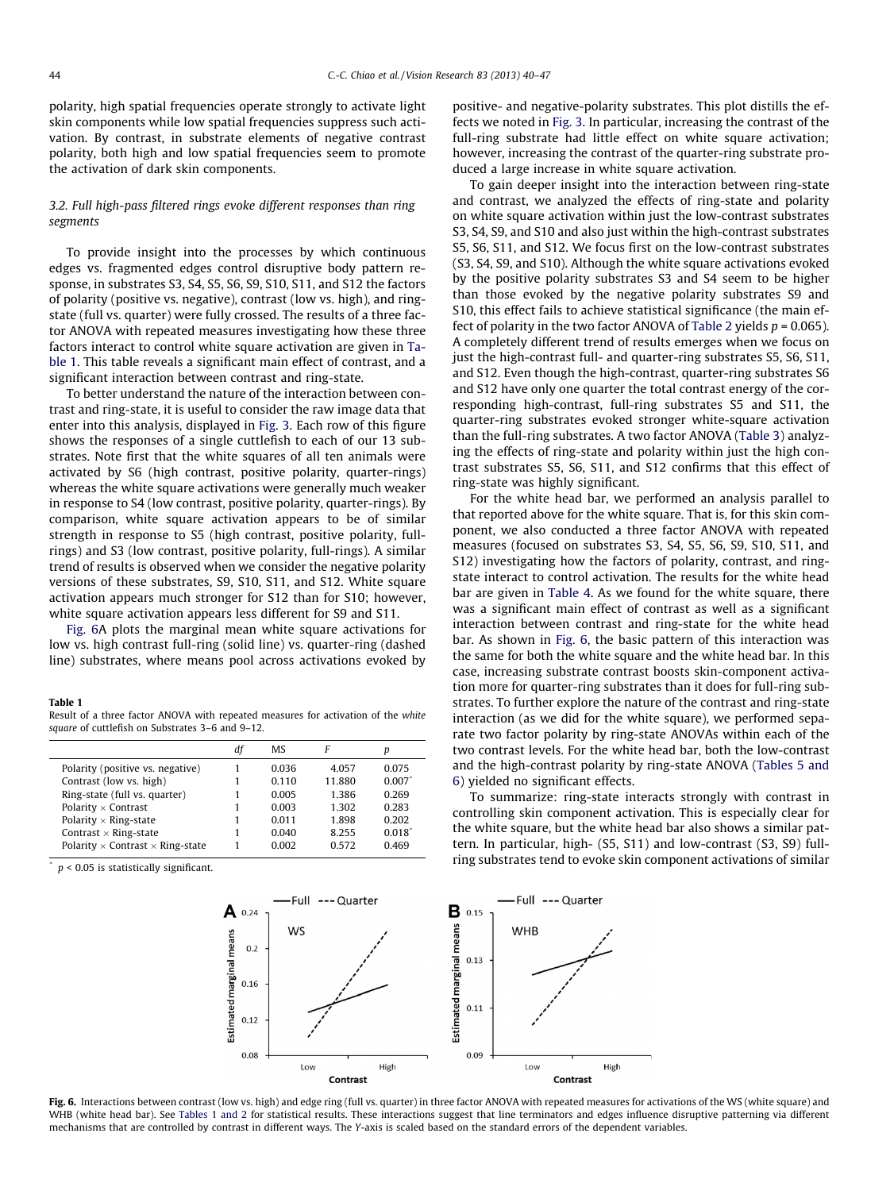<span id="page-4-0"></span>polarity, high spatial frequencies operate strongly to activate light skin components while low spatial frequencies suppress such activation. By contrast, in substrate elements of negative contrast polarity, both high and low spatial frequencies seem to promote the activation of dark skin components.

# 3.2. Full high-pass filtered rings evoke different responses than ring segments

To provide insight into the processes by which continuous edges vs. fragmented edges control disruptive body pattern response, in substrates S3, S4, S5, S6, S9, S10, S11, and S12 the factors of polarity (positive vs. negative), contrast (low vs. high), and ringstate (full vs. quarter) were fully crossed. The results of a three factor ANOVA with repeated measures investigating how these three factors interact to control white square activation are given in Table 1. This table reveals a significant main effect of contrast, and a significant interaction between contrast and ring-state.

To better understand the nature of the interaction between contrast and ring-state, it is useful to consider the raw image data that enter into this analysis, displayed in [Fig. 3.](#page-2-0) Each row of this figure shows the responses of a single cuttlefish to each of our 13 substrates. Note first that the white squares of all ten animals were activated by S6 (high contrast, positive polarity, quarter-rings) whereas the white square activations were generally much weaker in response to S4 (low contrast, positive polarity, quarter-rings). By comparison, white square activation appears to be of similar strength in response to S5 (high contrast, positive polarity, fullrings) and S3 (low contrast, positive polarity, full-rings). A similar trend of results is observed when we consider the negative polarity versions of these substrates, S9, S10, S11, and S12. White square activation appears much stronger for S12 than for S10; however, white square activation appears less different for S9 and S11.

Fig. 6A plots the marginal mean white square activations for low vs. high contrast full-ring (solid line) vs. quarter-ring (dashed line) substrates, where means pool across activations evoked by

#### Table 1

Result of a three factor ANOVA with repeated measures for activation of the white square of cuttlefish on Substrates 3–6 and 9–12.

|                                                | df | MS    | F      |                      |
|------------------------------------------------|----|-------|--------|----------------------|
| Polarity (positive vs. negative)               |    | 0.036 | 4.057  | 0.075                |
| Contrast (low vs. high)                        |    | 0.110 | 11.880 | $0.007*$             |
| Ring-state (full vs. quarter)                  |    | 0.005 | 1.386  | 0.269                |
| Polarity $\times$ Contrast                     |    | 0.003 | 1.302  | 0.283                |
| Polarity $\times$ Ring-state                   |    | 0.011 | 1.898  | 0.202                |
| Contrast $\times$ Ring-state                   |    | 0.040 | 8255   | $0.018$ <sup>*</sup> |
| Polarity $\times$ Contrast $\times$ Ring-state |    | 0.002 | 0.572  | 0.469                |

 $*$   $p < 0.05$  is statistically significant.

positive- and negative-polarity substrates. This plot distills the effects we noted in [Fig. 3](#page-2-0). In particular, increasing the contrast of the full-ring substrate had little effect on white square activation: however, increasing the contrast of the quarter-ring substrate produced a large increase in white square activation.

To gain deeper insight into the interaction between ring-state and contrast, we analyzed the effects of ring-state and polarity on white square activation within just the low-contrast substrates S3, S4, S9, and S10 and also just within the high-contrast substrates S5, S6, S11, and S12. We focus first on the low-contrast substrates (S3, S4, S9, and S10). Although the white square activations evoked by the positive polarity substrates S3 and S4 seem to be higher than those evoked by the negative polarity substrates S9 and S10, this effect fails to achieve statistical significance (the main ef-fect of polarity in the two factor ANOVA of [Table 2](#page-5-0) yields  $p = 0.065$ ). A completely different trend of results emerges when we focus on just the high-contrast full- and quarter-ring substrates S5, S6, S11, and S12. Even though the high-contrast, quarter-ring substrates S6 and S12 have only one quarter the total contrast energy of the corresponding high-contrast, full-ring substrates S5 and S11, the quarter-ring substrates evoked stronger white-square activation than the full-ring substrates. A two factor ANOVA ([Table 3\)](#page-5-0) analyzing the effects of ring-state and polarity within just the high contrast substrates S5, S6, S11, and S12 confirms that this effect of ring-state was highly significant.

For the white head bar, we performed an analysis parallel to that reported above for the white square. That is, for this skin component, we also conducted a three factor ANOVA with repeated measures (focused on substrates S3, S4, S5, S6, S9, S10, S11, and S12) investigating how the factors of polarity, contrast, and ringstate interact to control activation. The results for the white head bar are given in [Table 4.](#page-5-0) As we found for the white square, there was a significant main effect of contrast as well as a significant interaction between contrast and ring-state for the white head bar. As shown in Fig. 6, the basic pattern of this interaction was the same for both the white square and the white head bar. In this case, increasing substrate contrast boosts skin-component activation more for quarter-ring substrates than it does for full-ring substrates. To further explore the nature of the contrast and ring-state interaction (as we did for the white square), we performed separate two factor polarity by ring-state ANOVAs within each of the two contrast levels. For the white head bar, both the low-contrast and the high-contrast polarity by ring-state ANOVA ([Tables 5 and](#page-5-0) [6](#page-5-0)) yielded no significant effects.

To summarize: ring-state interacts strongly with contrast in controlling skin component activation. This is especially clear for the white square, but the white head bar also shows a similar pattern. In particular, high- (S5, S11) and low-contrast (S3, S9) fullring substrates tend to evoke skin component activations of similar



Fig. 6. Interactions between contrast (low vs. high) and edge ring (full vs. quarter) in three factor ANOVA with repeated measures for activations of the WS (white square) and WHB (white head bar). See Tables 1 and 2 for statistical results. These interactions suggest that line terminators and edges influence disruptive patterning via different mechanisms that are controlled by contrast in different ways. The Y-axis is scaled based on the standard errors of the dependent variables.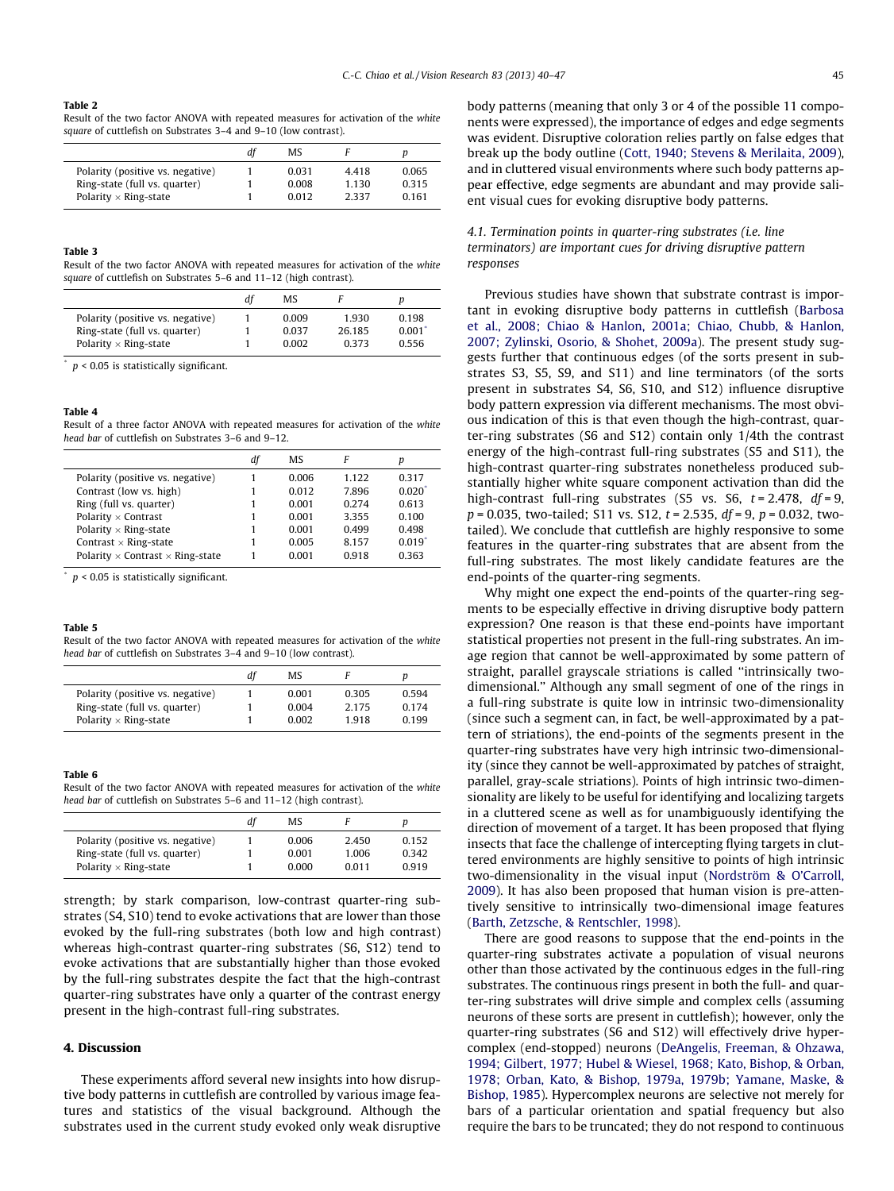#### <span id="page-5-0"></span>Table 2

Result of the two factor ANOVA with repeated measures for activation of the white square of cuttlefish on Substrates 3–4 and 9–10 (low contrast).

|                                  | df | <b>MS</b> |         | D     |
|----------------------------------|----|-----------|---------|-------|
| Polarity (positive vs. negative) |    | 0.031     | 4.418   | 0.065 |
| Ring-state (full vs. quarter)    |    | 0.008     | 1 1 3 0 | 0.315 |
| Polarity $\times$ Ring-state     |    | 0.012     | 2337    | 0.161 |

#### Table 3

Result of the two factor ANOVA with repeated measures for activation of the white square of cuttlefish on Substrates 5–6 and 11–12 (high contrast).

|                                  | di | MS    |        |                      |
|----------------------------------|----|-------|--------|----------------------|
| Polarity (positive vs. negative) |    | 0.009 | 1.930  | 0.198                |
| Ring-state (full vs. quarter)    |    | 0.037 | 26.185 | $0.001$ <sup>*</sup> |
| Polarity $\times$ Ring-state     |    | 0.002 | 0.373  | 0.556                |

 $p$  < 0.05 is statistically significant.

#### Table 4

Result of a three factor ANOVA with repeated measures for activation of the white head bar of cuttlefish on Substrates 3–6 and 9–12.

|                                                | df | <b>MS</b> | F       | D           |
|------------------------------------------------|----|-----------|---------|-------------|
| Polarity (positive vs. negative)               |    | 0.006     | 1 1 2 2 | 0.317       |
| Contrast (low vs. high)                        |    | 0.012     | 7.896   | $0.020^{*}$ |
| Ring (full vs. quarter)                        |    | 0.001     | 0.274   | 0.613       |
| Polarity $\times$ Contrast                     | 1  | 0.001     | 3355    | 0.100       |
| Polarity $\times$ Ring-state                   | 1  | 0.001     | 0.499   | 0.498       |
| Contrast $\times$ Ring-state                   |    | 0.005     | 8.157   | 0.019"      |
| Polarity $\times$ Contrast $\times$ Ring-state |    | 0.001     | 0.918   | 0.363       |

 $*$   $p < 0.05$  is statistically significant.

#### Table 5

Result of the two factor ANOVA with repeated measures for activation of the white head bar of cuttlefish on Substrates 3–4 and 9–10 (low contrast).

|                                  | df | M <sub>S</sub> |       | D     |
|----------------------------------|----|----------------|-------|-------|
| Polarity (positive vs. negative) |    | 0.001          | 0.305 | 0.594 |
| Ring-state (full vs. quarter)    |    | 0.004          | 2.175 | 0.174 |
| Polarity $\times$ Ring-state     |    | 0.002          | 1.918 | 0.199 |

### Table 6

Result of the two factor ANOVA with repeated measures for activation of the white head bar of cuttlefish on Substrates 5–6 and 11–12 (high contrast).

|                                  | di | MS    |       |       |
|----------------------------------|----|-------|-------|-------|
| Polarity (positive vs. negative) |    | 0.006 | 2.450 | 0.152 |
| Ring-state (full vs. quarter)    |    | 0.001 | 1.006 | 0.342 |
| Polarity $\times$ Ring-state     |    | 0.000 | 0.011 | 0.919 |

strength; by stark comparison, low-contrast quarter-ring substrates (S4, S10) tend to evoke activations that are lower than those evoked by the full-ring substrates (both low and high contrast) whereas high-contrast quarter-ring substrates (S6, S12) tend to evoke activations that are substantially higher than those evoked by the full-ring substrates despite the fact that the high-contrast quarter-ring substrates have only a quarter of the contrast energy present in the high-contrast full-ring substrates.

## 4. Discussion

These experiments afford several new insights into how disruptive body patterns in cuttlefish are controlled by various image features and statistics of the visual background. Although the substrates used in the current study evoked only weak disruptive body patterns (meaning that only 3 or 4 of the possible 11 components were expressed), the importance of edges and edge segments was evident. Disruptive coloration relies partly on false edges that break up the body outline ([Cott, 1940; Stevens & Merilaita, 2009\)](#page-7-0), and in cluttered visual environments where such body patterns appear effective, edge segments are abundant and may provide salient visual cues for evoking disruptive body patterns.

# 4.1. Termination points in quarter-ring substrates (i.e. line terminators) are important cues for driving disruptive pattern responses

Previous studies have shown that substrate contrast is important in evoking disruptive body patterns in cuttlefish ([Barbosa](#page-7-0) [et al., 2008; Chiao & Hanlon, 2001a; Chiao, Chubb, & Hanlon,](#page-7-0) [2007; Zylinski, Osorio, & Shohet, 2009a\)](#page-7-0). The present study suggests further that continuous edges (of the sorts present in substrates S3, S5, S9, and S11) and line terminators (of the sorts present in substrates S4, S6, S10, and S12) influence disruptive body pattern expression via different mechanisms. The most obvious indication of this is that even though the high-contrast, quarter-ring substrates (S6 and S12) contain only 1/4th the contrast energy of the high-contrast full-ring substrates (S5 and S11), the high-contrast quarter-ring substrates nonetheless produced substantially higher white square component activation than did the high-contrast full-ring substrates (S5 vs. S6,  $t = 2.478$ ,  $df = 9$ ,  $p = 0.035$ , two-tailed; S11 vs. S12,  $t = 2.535$ ,  $df = 9$ ,  $p = 0.032$ , twotailed). We conclude that cuttlefish are highly responsive to some features in the quarter-ring substrates that are absent from the full-ring substrates. The most likely candidate features are the end-points of the quarter-ring segments.

Why might one expect the end-points of the quarter-ring segments to be especially effective in driving disruptive body pattern expression? One reason is that these end-points have important statistical properties not present in the full-ring substrates. An image region that cannot be well-approximated by some pattern of straight, parallel grayscale striations is called ''intrinsically twodimensional.'' Although any small segment of one of the rings in a full-ring substrate is quite low in intrinsic two-dimensionality (since such a segment can, in fact, be well-approximated by a pattern of striations), the end-points of the segments present in the quarter-ring substrates have very high intrinsic two-dimensionality (since they cannot be well-approximated by patches of straight, parallel, gray-scale striations). Points of high intrinsic two-dimensionality are likely to be useful for identifying and localizing targets in a cluttered scene as well as for unambiguously identifying the direction of movement of a target. It has been proposed that flying insects that face the challenge of intercepting flying targets in cluttered environments are highly sensitive to points of high intrinsic two-dimensionality in the visual input [\(Nordström & O'Carroll,](#page-7-0) [2009](#page-7-0)). It has also been proposed that human vision is pre-attentively sensitive to intrinsically two-dimensional image features ([Barth, Zetzsche, & Rentschler, 1998\)](#page-7-0).

There are good reasons to suppose that the end-points in the quarter-ring substrates activate a population of visual neurons other than those activated by the continuous edges in the full-ring substrates. The continuous rings present in both the full- and quarter-ring substrates will drive simple and complex cells (assuming neurons of these sorts are present in cuttlefish); however, only the quarter-ring substrates (S6 and S12) will effectively drive hypercomplex (end-stopped) neurons ([DeAngelis, Freeman, & Ohzawa,](#page-7-0) [1994; Gilbert, 1977; Hubel & Wiesel, 1968; Kato, Bishop, & Orban,](#page-7-0) [1978; Orban, Kato, & Bishop, 1979a, 1979b; Yamane, Maske, &](#page-7-0) [Bishop, 1985](#page-7-0)). Hypercomplex neurons are selective not merely for bars of a particular orientation and spatial frequency but also require the bars to be truncated; they do not respond to continuous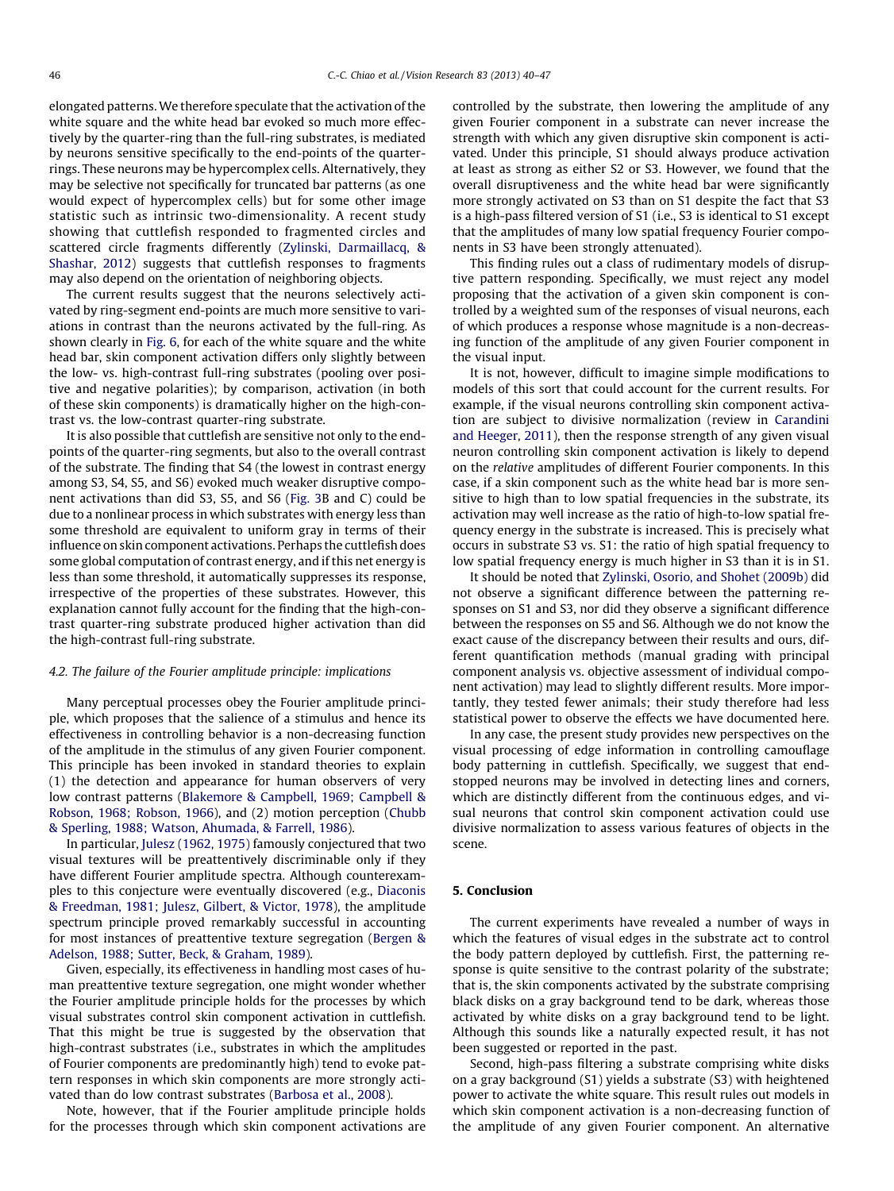elongated patterns.We therefore speculate that the activation of the white square and the white head bar evoked so much more effectively by the quarter-ring than the full-ring substrates, is mediated by neurons sensitive specifically to the end-points of the quarterrings. These neurons may be hypercomplex cells. Alternatively, they may be selective not specifically for truncated bar patterns (as one would expect of hypercomplex cells) but for some other image statistic such as intrinsic two-dimensionality. A recent study showing that cuttlefish responded to fragmented circles and scattered circle fragments differently ([Zylinski, Darmaillacq, &](#page-7-0) [Shashar, 2012\)](#page-7-0) suggests that cuttlefish responses to fragments may also depend on the orientation of neighboring objects.

The current results suggest that the neurons selectively activated by ring-segment end-points are much more sensitive to variations in contrast than the neurons activated by the full-ring. As shown clearly in [Fig. 6,](#page-4-0) for each of the white square and the white head bar, skin component activation differs only slightly between the low- vs. high-contrast full-ring substrates (pooling over positive and negative polarities); by comparison, activation (in both of these skin components) is dramatically higher on the high-contrast vs. the low-contrast quarter-ring substrate.

It is also possible that cuttlefish are sensitive not only to the endpoints of the quarter-ring segments, but also to the overall contrast of the substrate. The finding that S4 (the lowest in contrast energy among S3, S4, S5, and S6) evoked much weaker disruptive component activations than did S3, S5, and S6 [\(Fig. 3](#page-2-0)B and C) could be due to a nonlinear process in which substrates with energy less than some threshold are equivalent to uniform gray in terms of their influence on skin component activations. Perhaps the cuttlefish does some global computation of contrast energy, and if this net energy is less than some threshold, it automatically suppresses its response, irrespective of the properties of these substrates. However, this explanation cannot fully account for the finding that the high-contrast quarter-ring substrate produced higher activation than did the high-contrast full-ring substrate.

### 4.2. The failure of the Fourier amplitude principle: implications

Many perceptual processes obey the Fourier amplitude principle, which proposes that the salience of a stimulus and hence its effectiveness in controlling behavior is a non-decreasing function of the amplitude in the stimulus of any given Fourier component. This principle has been invoked in standard theories to explain (1) the detection and appearance for human observers of very low contrast patterns [\(Blakemore & Campbell, 1969; Campbell &](#page-7-0) [Robson, 1968; Robson, 1966](#page-7-0)), and (2) motion perception [\(Chubb](#page-7-0) [& Sperling, 1988; Watson, Ahumada, & Farrell, 1986\)](#page-7-0).

In particular, [Julesz \(1962, 1975\)](#page-7-0) famously conjectured that two visual textures will be preattentively discriminable only if they have different Fourier amplitude spectra. Although counterexamples to this conjecture were eventually discovered (e.g., [Diaconis](#page-7-0) [& Freedman, 1981; Julesz, Gilbert, & Victor, 1978\)](#page-7-0), the amplitude spectrum principle proved remarkably successful in accounting for most instances of preattentive texture segregation ([Bergen &](#page-7-0) [Adelson, 1988; Sutter, Beck, & Graham, 1989\)](#page-7-0).

Given, especially, its effectiveness in handling most cases of human preattentive texture segregation, one might wonder whether the Fourier amplitude principle holds for the processes by which visual substrates control skin component activation in cuttlefish. That this might be true is suggested by the observation that high-contrast substrates (i.e., substrates in which the amplitudes of Fourier components are predominantly high) tend to evoke pattern responses in which skin components are more strongly activated than do low contrast substrates ([Barbosa et al., 2008](#page-7-0)).

Note, however, that if the Fourier amplitude principle holds for the processes through which skin component activations are controlled by the substrate, then lowering the amplitude of any given Fourier component in a substrate can never increase the strength with which any given disruptive skin component is activated. Under this principle, S1 should always produce activation at least as strong as either S2 or S3. However, we found that the overall disruptiveness and the white head bar were significantly more strongly activated on S3 than on S1 despite the fact that S3 is a high-pass filtered version of S1 (i.e., S3 is identical to S1 except that the amplitudes of many low spatial frequency Fourier components in S3 have been strongly attenuated).

This finding rules out a class of rudimentary models of disruptive pattern responding. Specifically, we must reject any model proposing that the activation of a given skin component is controlled by a weighted sum of the responses of visual neurons, each of which produces a response whose magnitude is a non-decreasing function of the amplitude of any given Fourier component in the visual input.

It is not, however, difficult to imagine simple modifications to models of this sort that could account for the current results. For example, if the visual neurons controlling skin component activation are subject to divisive normalization (review in [Carandini](#page-7-0) [and Heeger, 2011\)](#page-7-0), then the response strength of any given visual neuron controlling skin component activation is likely to depend on the relative amplitudes of different Fourier components. In this case, if a skin component such as the white head bar is more sensitive to high than to low spatial frequencies in the substrate, its activation may well increase as the ratio of high-to-low spatial frequency energy in the substrate is increased. This is precisely what occurs in substrate S3 vs. S1: the ratio of high spatial frequency to low spatial frequency energy is much higher in S3 than it is in S1.

It should be noted that [Zylinski, Osorio, and Shohet \(2009b\)](#page-7-0) did not observe a significant difference between the patterning responses on S1 and S3, nor did they observe a significant difference between the responses on S5 and S6. Although we do not know the exact cause of the discrepancy between their results and ours, different quantification methods (manual grading with principal component analysis vs. objective assessment of individual component activation) may lead to slightly different results. More importantly, they tested fewer animals; their study therefore had less statistical power to observe the effects we have documented here.

In any case, the present study provides new perspectives on the visual processing of edge information in controlling camouflage body patterning in cuttlefish. Specifically, we suggest that endstopped neurons may be involved in detecting lines and corners, which are distinctly different from the continuous edges, and visual neurons that control skin component activation could use divisive normalization to assess various features of objects in the scene.

### 5. Conclusion

The current experiments have revealed a number of ways in which the features of visual edges in the substrate act to control the body pattern deployed by cuttlefish. First, the patterning response is quite sensitive to the contrast polarity of the substrate; that is, the skin components activated by the substrate comprising black disks on a gray background tend to be dark, whereas those activated by white disks on a gray background tend to be light. Although this sounds like a naturally expected result, it has not been suggested or reported in the past.

Second, high-pass filtering a substrate comprising white disks on a gray background (S1) yields a substrate (S3) with heightened power to activate the white square. This result rules out models in which skin component activation is a non-decreasing function of the amplitude of any given Fourier component. An alternative